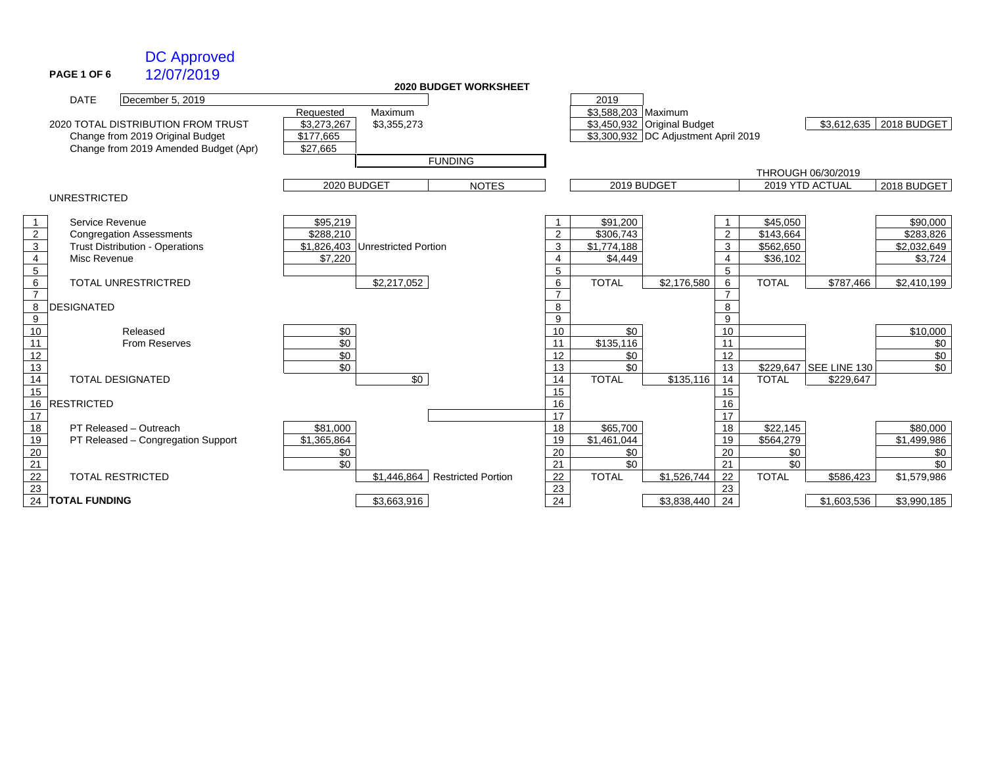### DC Approved

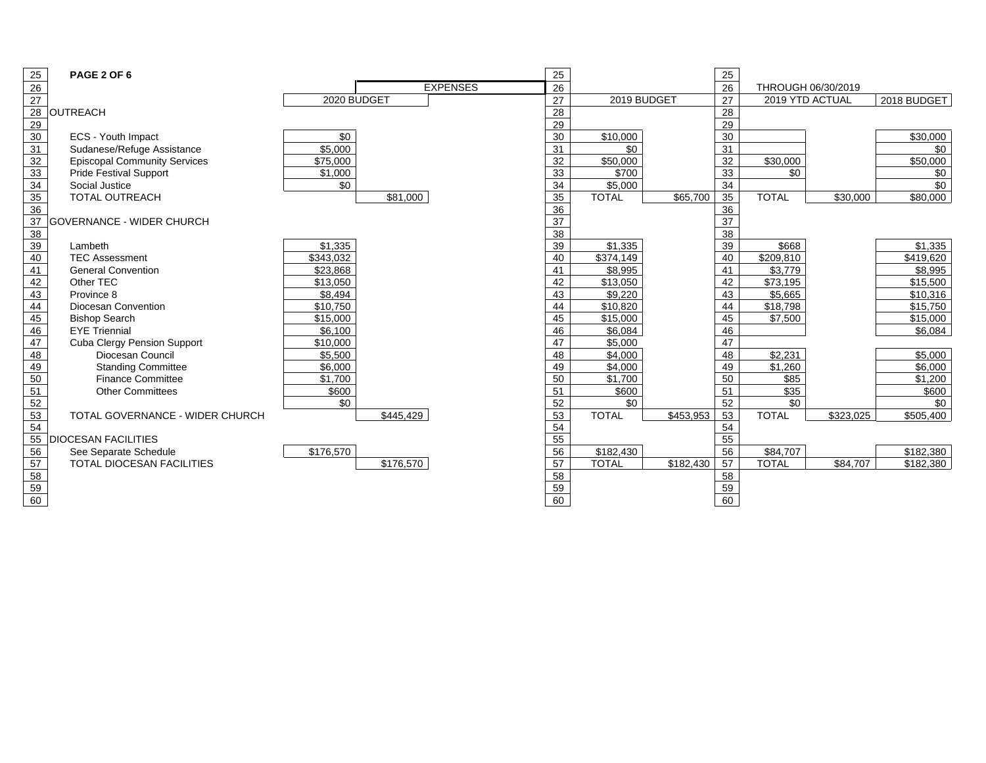| 25                                 | PAGE 2 OF 6                         |             |           |                 | 25 |                      |           | 25              |                       |           |             |
|------------------------------------|-------------------------------------|-------------|-----------|-----------------|----|----------------------|-----------|-----------------|-----------------------|-----------|-------------|
| $\frac{26}{27}$                    |                                     |             |           | <b>EXPENSES</b> | 26 |                      |           | 26              | THROUGH 06/30/2019    |           |             |
|                                    |                                     | 2020 BUDGET |           |                 | 27 | 2019 BUDGET          |           | 27              | 2019 YTD ACTUAL       |           | 2018 BUDGET |
| 28                                 | <b>OUTREACH</b>                     |             |           |                 | 28 |                      |           | 28              |                       |           |             |
| $\frac{29}{30}$                    |                                     |             |           |                 | 29 |                      |           | 29              |                       |           |             |
|                                    | ECS - Youth Impact                  | $\sqrt{6}$  |           |                 | 30 | $\sqrt{$10,000}$     |           | 30              |                       |           | \$30,000    |
| 31                                 | Sudanese/Refuge Assistance          | \$5.000     |           |                 | 31 | \$0                  |           | 31              |                       |           | \$0         |
| $\overline{32}$                    | <b>Episcopal Community Services</b> | \$75,000    |           |                 | 32 | $\overline{$}50,000$ |           | 32              | \$30,000              |           | \$50,000    |
| 33                                 | <b>Pride Festival Support</b>       | \$1,000     |           |                 | 33 | \$700                |           | 33              | \$0                   |           | \$0         |
| 34                                 | Social Justice                      | \$0         |           |                 | 34 | \$5.000              |           | 34              |                       |           | \$0         |
| 35                                 | <b>TOTAL OUTREACH</b>               |             | \$81.000  |                 | 35 | <b>TOTAL</b>         | \$65,700  | 35              | <b>TOTAL</b>          | \$30,000  | \$80,000    |
| 36                                 |                                     |             |           |                 | 36 |                      |           | 36              |                       |           |             |
| $\overline{37}$                    | <b>GOVERNANCE - WIDER CHURCH</b>    |             |           |                 | 37 |                      |           | 37              |                       |           |             |
| 38                                 |                                     |             |           |                 | 38 |                      |           | $\overline{38}$ |                       |           |             |
| 39                                 | Lambeth                             | \$1.335     |           |                 | 39 | \$1,335              |           | 39              | \$668                 |           | \$1.335     |
| 40                                 | <b>TEC Assessment</b>               | \$343,032   |           |                 | 40 | \$374,149            |           | 40              | $\overline{$}209,810$ |           | \$419,620   |
| $\overline{41}$                    | <b>General Convention</b>           | \$23,868    |           |                 | 41 | \$8,995              |           | 41              | \$3,779               |           | \$8,995     |
| 42                                 | Other TEC                           | \$13,050    |           |                 | 42 | \$13,050             |           | 42              | \$73,195              |           | \$15,500    |
| $\frac{1}{43}$                     | Province 8                          | \$8,494     |           |                 | 43 | \$9,220              |           | 43              | \$5,665               |           | \$10,316    |
| 44                                 | Diocesan Convention                 | \$10.750    |           |                 | 44 | \$10.820             |           | 44              | \$18,798              |           | \$15,750    |
| $\frac{45}{46}$<br>$\frac{46}{47}$ | <b>Bishop Search</b>                | \$15,000    |           |                 | 45 | \$15,000             |           | 45              | \$7,500               |           | \$15,000    |
|                                    | <b>EYE Triennial</b>                | \$6.100     |           |                 | 46 | \$6,084              |           | 46              |                       |           | \$6,084     |
|                                    | <b>Cuba Clergy Pension Support</b>  | \$10,000    |           |                 | 47 | \$5,000              |           | 47              |                       |           |             |
| 48                                 | Diocesan Council                    | \$5,500     |           |                 | 48 | \$4,000              |           | 48              | \$2,231               |           | \$5,000     |
| 49                                 | <b>Standing Committee</b>           | \$6,000     |           |                 | 49 | \$4,000              |           | 49              | \$1,260               |           | \$6,000     |
| 50                                 | <b>Finance Committee</b>            | \$1.700     |           |                 | 50 | \$1,700              |           | 50              | \$85                  |           | \$1,200     |
| 51                                 | <b>Other Committees</b>             | \$600       |           |                 | 51 | \$600                |           | 51              | $\overline{$35}$      |           | \$600       |
| $\frac{52}{53}$                    |                                     | \$0         |           |                 | 52 | \$0                  |           | 52              | \$0                   |           | \$0         |
|                                    | TOTAL GOVERNANCE - WIDER CHURCH     |             | \$445,429 |                 | 53 | <b>TOTAL</b>         | \$453,953 | $\overline{53}$ | <b>TOTAL</b>          | \$323,025 | \$505,400   |
| 54                                 |                                     |             |           |                 | 54 |                      |           | 54              |                       |           |             |
| 55                                 | <b>DIOCESAN FACILITIES</b>          |             |           |                 | 55 |                      |           | 55              |                       |           |             |
| 56                                 | See Separate Schedule               | \$176,570   |           |                 | 56 | \$182,430            |           | 56              | \$84,707              |           | \$182,380   |
| 57                                 | <b>TOTAL DIOCESAN FACILITIES</b>    |             | \$176,570 |                 | 57 | <b>TOTAL</b>         | \$182,430 | 57              | <b>TOTAL</b>          | \$84.707  | \$182,380   |
| 58                                 |                                     |             |           |                 | 58 |                      |           | 58              |                       |           |             |
| 59                                 |                                     |             |           |                 | 59 |                      |           | 59              |                       |           |             |

60 60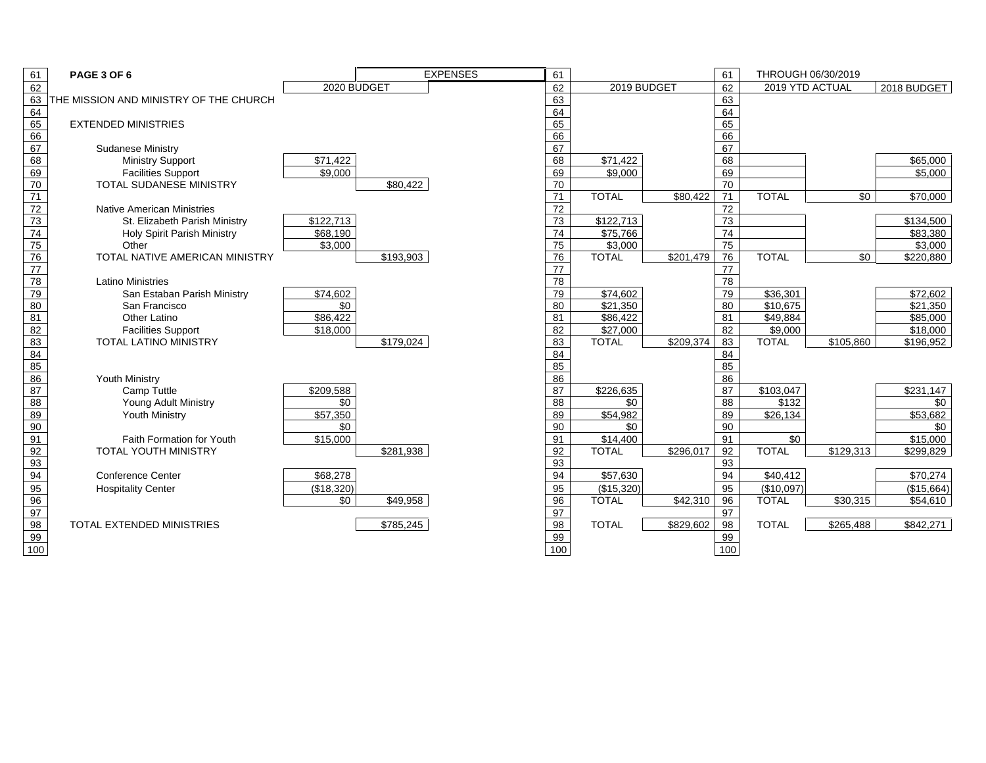| 61              | PAGE 3 OF 6                            |             |           | <b>EXPENSES</b> | 61              |              |           | 61              | THROUGH 06/30/2019 |           |             |
|-----------------|----------------------------------------|-------------|-----------|-----------------|-----------------|--------------|-----------|-----------------|--------------------|-----------|-------------|
| 62              |                                        | 2020 BUDGET |           |                 | 62              | 2019 BUDGET  |           | 62              | 2019 YTD ACTUAL    |           | 2018 BUDGET |
| 63              | THE MISSION AND MINISTRY OF THE CHURCH |             |           |                 | 63              |              |           | 63              |                    |           |             |
| 64              |                                        |             |           |                 | 64              |              |           | 64              |                    |           |             |
| 65              | <b>EXTENDED MINISTRIES</b>             |             |           |                 | 65              |              |           | 65              |                    |           |             |
| 66              |                                        |             |           |                 | 66              |              |           | 66              |                    |           |             |
| 67              | <b>Sudanese Ministry</b>               |             |           |                 | 67              |              |           | 67              |                    |           |             |
| 68              | <b>Ministry Support</b>                | \$71,422    |           |                 | 68              | \$71,422     |           | 68              |                    |           | \$65,000    |
| 69              | <b>Facilities Support</b>              | \$9.000     |           |                 | 69              | \$9,000      |           | 69              |                    |           | \$5,000     |
| 70              | <b>TOTAL SUDANESE MINISTRY</b>         |             | \$80,422  |                 | 70              |              |           | 70              |                    |           |             |
| 71              |                                        |             |           |                 | 71              | <b>TOTAL</b> | \$80,422  | 71              | <b>TOTAL</b>       | \$0       | \$70,000    |
| $\overline{72}$ | <b>Native American Ministries</b>      |             |           |                 | $\overline{72}$ |              |           | 72              |                    |           |             |
| $\overline{73}$ | St. Elizabeth Parish Ministry          | \$122,713   |           |                 | 73              | \$122,713    |           | 73              |                    |           | \$134,500   |
| 74              | <b>Holy Spirit Parish Ministry</b>     | \$68,190    |           |                 | 74              | \$75,766     |           | $\overline{74}$ |                    |           | \$83,380    |
| 75              | Other                                  | \$3,000     |           |                 | 75              | \$3,000      |           | 75              |                    |           | \$3,000     |
| $\overline{76}$ | TOTAL NATIVE AMERICAN MINISTRY         |             | \$193,903 |                 | 76              | <b>TOTAL</b> | \$201,479 | 76              | <b>TOTAL</b>       | \$0       | \$220,880   |
| 77              |                                        |             |           |                 | 77              |              |           | 77              |                    |           |             |
| 78              | <b>Latino Ministries</b>               |             |           |                 | 78              |              |           | 78              |                    |           |             |
| 79              | San Estaban Parish Ministry            | \$74,602    |           |                 | 79              | \$74,602     |           | 79              | \$36,301           |           | \$72,602    |
| 80              | San Francisco                          | \$0         |           |                 | 80              | \$21,350     |           | 80              | \$10,675           |           | \$21,350    |
| 81              | <b>Other Latino</b>                    | \$86,422    |           |                 | 81              | \$86,422     |           | 81              | \$49,884           |           | \$85,000    |
| $\overline{82}$ | <b>Facilities Support</b>              | \$18,000    |           |                 | 82              | \$27,000     |           | 82              | \$9,000            |           | \$18,000    |
| 83              | TOTAL LATINO MINISTRY                  |             | \$179,024 |                 | 83              | <b>TOTAL</b> | \$209,374 | 83              | <b>TOTAL</b>       | \$105,860 | \$196,952   |
| 84              |                                        |             |           |                 | 84              |              |           | 84              |                    |           |             |
| 85              |                                        |             |           |                 | 85              |              |           | 85              |                    |           |             |
| 86              | Youth Ministry                         |             |           |                 | 86              |              |           | 86              |                    |           |             |
| 87              | <b>Camp Tuttle</b>                     | \$209,588   |           |                 | 87              | \$226,635    |           | 87              | \$103,047          |           | \$231,147   |
| 88              | Young Adult Ministry                   | \$0         |           |                 | 88              | \$0          |           | 88              | \$132              |           | \$0         |
| 89              | <b>Youth Ministry</b>                  | \$57,350    |           |                 | 89              | \$54,982     |           | 89              | \$26,134           |           | \$53,682    |
| 90              |                                        | \$0         |           |                 | 90              | \$0          |           | 90              |                    |           | \$0         |
| 91              | Faith Formation for Youth              | \$15,000    |           |                 | 91              | \$14,400     |           | 91              | \$0                |           | \$15,000    |
| 92              | <b>TOTAL YOUTH MINISTRY</b>            |             | \$281,938 |                 | 92              | <b>TOTAL</b> | \$296,017 | 92              | <b>TOTAL</b>       | \$129,313 | \$299,829   |
| 93              |                                        |             |           |                 | 93              |              |           | 93              |                    |           |             |
| 94              | <b>Conference Center</b>               | \$68,278    |           |                 | 94              | \$57,630     |           | 94              | \$40,412           |           | \$70,274    |
| 95              | <b>Hospitality Center</b>              | (\$18,320)  |           |                 | 95              | (\$15,320)   |           | 95              | (\$10,097)         |           | (\$15,664)  |
| 96              |                                        | \$0         | \$49,958  |                 | 96              | <b>TOTAL</b> | \$42,310  | 96              | <b>TOTAL</b>       | \$30,315  | \$54,610    |
| 97              |                                        |             |           |                 | 97              |              |           | 97              |                    |           |             |
| 98              | <b>TOTAL EXTENDED MINISTRIES</b>       |             | \$785,245 |                 | 98              | <b>TOTAL</b> | \$829,602 | 98              | <b>TOTAL</b>       | \$265.488 | \$842,271   |
| 99              |                                        |             |           |                 | 99              |              |           | 99              |                    |           |             |
| 100             |                                        |             |           |                 | 100             |              |           | 100             |                    |           |             |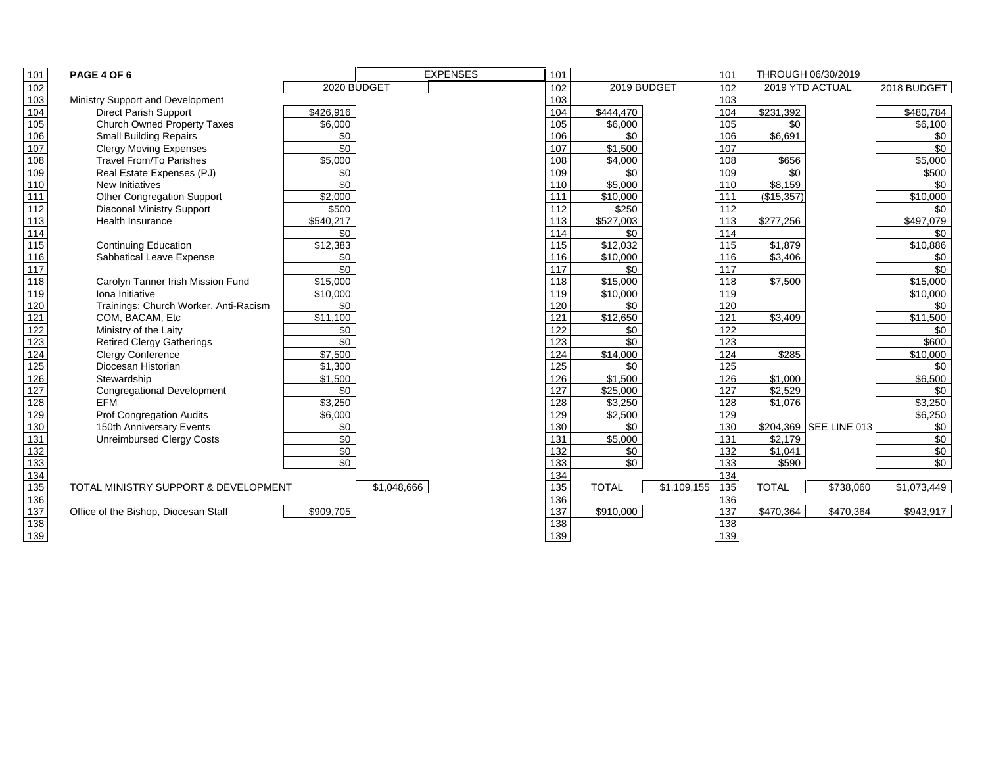| 101              | PAGE 4 OF 6                           |                       | <b>EXPENSES</b> | 101              |              | 101                |              | THROUGH 06/30/2019     |                      |
|------------------|---------------------------------------|-----------------------|-----------------|------------------|--------------|--------------------|--------------|------------------------|----------------------|
| 102              |                                       |                       | 2020 BUDGET     | 102              | 2019 BUDGET  | 102                |              | 2019 YTD ACTUAL        | 2018 BUDGET          |
| $\overline{103}$ | Ministry Support and Development      |                       |                 | 103              |              | 103                |              |                        |                      |
| 104              | <b>Direct Parish Support</b>          | \$426,916             |                 | 104              | \$444.470    | 104                | \$231,392    |                        | \$480,784            |
| 105              | <b>Church Owned Property Taxes</b>    | \$6.000               |                 | 105              | \$6.000      | 105                | \$0          |                        | \$6.100              |
| 106              | <b>Small Building Repairs</b>         | \$0                   |                 | 106              | \$0          | 106                | \$6.691      |                        | \$0                  |
| 107              | <b>Clergy Moving Expenses</b>         | \$0                   |                 | 107              | \$1.500      | 107                |              |                        | \$0                  |
| 108              | <b>Travel From/To Parishes</b>        | \$5.000               |                 | 108              | \$4,000      | 108                | \$656        |                        | \$5,000              |
| 109              | Real Estate Expenses (PJ)             | \$0                   |                 | 109              | \$0          | 109                | \$0          |                        | \$500                |
| 110              | <b>New Initiatives</b>                | \$0                   |                 | 110              | \$5,000      | 110                | \$8,159      |                        | \$0                  |
| 111              | Other Congregation Support            | \$2,000               |                 | 111              | \$10,000     | 111                | (\$15,357)   |                        | \$10,000             |
| 112              | <b>Diaconal Ministry Support</b>      | \$500                 |                 | 112              | \$250        | 112                |              |                        | \$0                  |
| 113              | <b>Health Insurance</b>               | \$540,217             |                 | 113              | \$527,003    | 113                | \$277,256    |                        | \$497,079            |
| 114              |                                       | \$0                   |                 | 114              | \$0          | 114                |              |                        | \$0                  |
| $\overline{115}$ | <b>Continuing Education</b>           | \$12,383              |                 | 115              | \$12.032     | 115                | \$1,879      |                        | \$10,886             |
| 116              | Sabbatical Leave Expense              | \$0                   |                 | 116              | \$10,000     | 116                | \$3,406      |                        | \$0                  |
| $\overline{117}$ |                                       | \$0                   |                 | 117              | \$0          | 117                |              |                        | \$0                  |
| 118              | Carolyn Tanner Irish Mission Fund     | \$15,000              |                 | 118              | \$15,000     | 118                | \$7.500      |                        | \$15,000             |
| 119              | Iona Initiative                       | \$10,000              |                 | 119              | \$10,000     | 119                |              |                        | \$10,000             |
| 120              | Trainings: Church Worker, Anti-Racism | \$0                   |                 | 120              | \$0          | 120                |              |                        | \$0                  |
| 121              | COM, BACAM, Etc                       | $\overline{\$11,100}$ |                 | $\frac{1}{121}$  | \$12,650     | 121                | \$3,409      |                        | $\overline{$}11,500$ |
| $\overline{122}$ | Ministry of the Laity                 | \$0                   |                 | 122              | \$0          | 122                |              |                        | \$0                  |
| 123              | <b>Retired Clergy Gatherings</b>      | \$0                   |                 | $\overline{123}$ | \$0          | 123                |              |                        | \$600                |
| $\overline{124}$ | <b>Clergy Conference</b>              | \$7,500               |                 | 124              | \$14,000     | 124                | \$285        |                        | \$10,000             |
| 125              | Diocesan Historian                    | \$1,300               |                 | 125              | \$0          | 125                |              |                        | \$0                  |
| 126              | Stewardship                           | \$1,500               |                 | 126              | \$1,500      | 126                | \$1,000      |                        | \$6,500              |
| $\overline{127}$ | <b>Congregational Development</b>     | \$0                   |                 | 127              | \$25,000     | 127                | \$2,529      |                        | \$0                  |
| 128              | <b>EFM</b>                            | \$3,250               |                 | 128              | \$3,250      | 128                | \$1,076      |                        | \$3,250              |
| 129              | <b>Prof Congregation Audits</b>       | \$6,000               |                 | 129              | \$2,500      | 129                |              |                        | \$6,250              |
| 130              | 150th Anniversary Events              | \$0                   |                 | 130              | \$0          | 130                |              | \$204.369 SEE LINE 013 | \$0                  |
| 131              | <b>Unreimbursed Clergy Costs</b>      | \$0                   |                 | 131              | \$5.000      | 131                | \$2,179      |                        | \$0                  |
| 132              |                                       | \$0                   |                 | 132              | \$0          | 132                | \$1,041      |                        | \$0                  |
| 133              |                                       | \$0                   |                 | 133              | \$0          | 133                | \$590        |                        | \$0                  |
| 134              |                                       |                       |                 | 134              |              | 134                |              |                        |                      |
| $\overline{135}$ | TOTAL MINISTRY SUPPORT & DEVELOPMENT  |                       | \$1,048,666     | $\overline{135}$ | <b>TOTAL</b> | \$1,109,155<br>135 | <b>TOTAL</b> | \$738,060              | \$1,073,449          |
| $\overline{136}$ |                                       |                       |                 | 136              |              | 136                |              |                        |                      |
| $\overline{137}$ | Office of the Bishop, Diocesan Staff  | \$909.705             |                 | $\frac{1}{137}$  | \$910,000    | 137                | \$470.364    | \$470.364              | \$943,917            |
| 138              |                                       |                       |                 | 138              |              | 138                |              |                        |                      |

139 139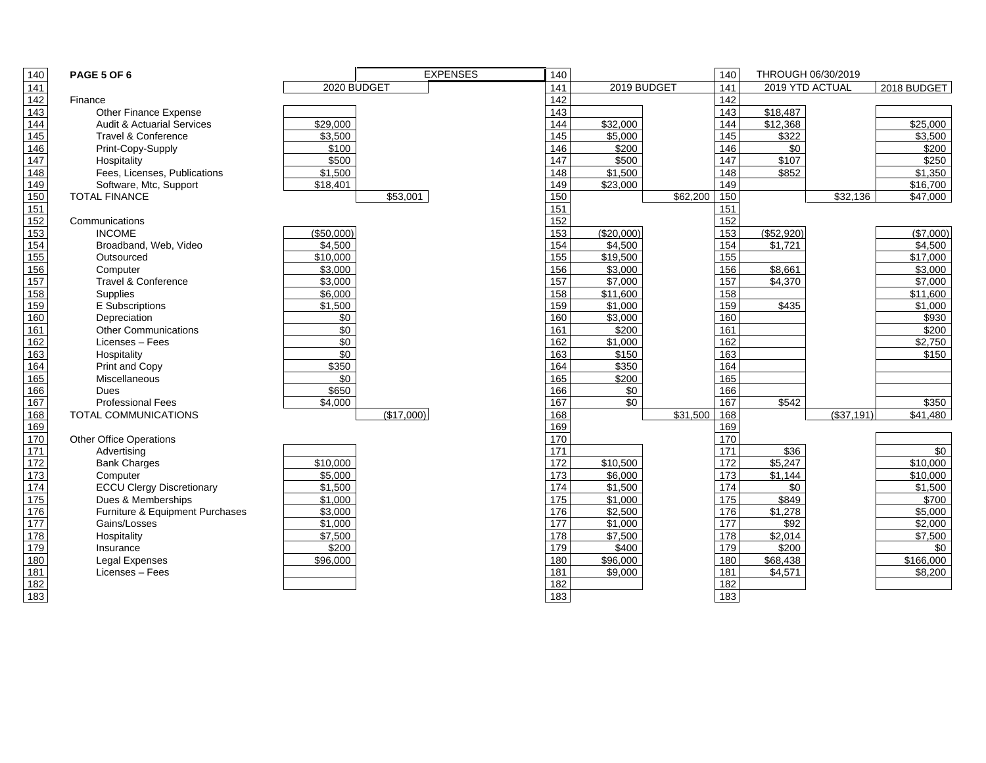| 140              | PAGE 5 OF 6                           |                     |             | <b>EXPENSES</b> | 140               |             |          | 140               |                  | THROUGH 06/30/2019 |                     |
|------------------|---------------------------------------|---------------------|-------------|-----------------|-------------------|-------------|----------|-------------------|------------------|--------------------|---------------------|
| 141              |                                       |                     | 2020 BUDGET |                 | 141               | 2019 BUDGET |          | 141               | 2019 YTD ACTUAL  |                    | 2018 BUDGET         |
| $\overline{142}$ | Finance                               |                     |             |                 | 142               |             |          | 142               |                  |                    |                     |
| 143              | Other Finance Expense                 |                     |             |                 | 143               |             |          | $\frac{1}{143}$   | \$18,487         |                    |                     |
| $\overline{144}$ | <b>Audit &amp; Actuarial Services</b> | \$29,000            |             |                 | 144               | \$32,000    |          | 144               | \$12,368         |                    | \$25,000            |
| 145              | Travel & Conference                   | \$3.500             |             |                 | 145               | \$5.000     |          | 145               | \$322            |                    | \$3.500             |
| 146              | Print-Copy-Supply                     | \$100               |             |                 | 146               | \$200       |          | 146               | \$0              |                    | \$200               |
| $\overline{147}$ | Hospitality                           | \$500               |             |                 | 147               | \$500       |          | 147               | \$107            |                    | \$250               |
| $\overline{148}$ | Fees, Licenses, Publications          | \$1,500             |             |                 | 148               | \$1,500     |          | 148               | \$852            |                    | $\overline{$}1,350$ |
| 149              | Software, Mtc, Support                | \$18,401            |             |                 | 149               | \$23,000    |          | 149               |                  |                    | \$16,700            |
| 150              | <b>TOTAL FINANCE</b>                  |                     | \$53.001    |                 | 150               |             | \$62,200 | 150               |                  | \$32.136           | \$47,000            |
| 151              |                                       |                     |             |                 | 151               |             |          | $\frac{151}{151}$ |                  |                    |                     |
| 152              | Communications                        |                     |             |                 | 152               |             |          | 152               |                  |                    |                     |
| 153              | <b>INCOME</b>                         | (\$50,000)          |             |                 | $\overline{153}$  | (\$20,000)  |          | $\overline{153}$  | (\$52,920)       |                    | (\$7,000)           |
| 154              | Broadband, Web, Video                 | \$4.500             |             |                 | 154               | \$4.500     |          | 154               | \$1.721          |                    | \$4.500             |
| 155              | Outsourced                            | \$10,000            |             |                 | 155               | \$19,500    |          | 155               |                  |                    | \$17,000            |
| 156              | Computer                              | \$3,000             |             |                 | 156               | \$3,000     |          | 156               | \$8,661          |                    | \$3,000             |
| 157              | Travel & Conference                   | \$3,000             |             |                 | $\frac{157}{157}$ | \$7,000     |          | 157               | \$4,370          |                    | \$7,000             |
| 158              | Supplies                              | \$6,000             |             |                 | 158               | \$11,600    |          | 158               |                  |                    | \$11,600            |
| 159              | E Subscriptions                       | $\overline{$}1,500$ |             |                 | 159               | \$1,000     |          | 159               | \$435            |                    | \$1,000             |
| 160              | Depreciation                          | \$0                 |             |                 | 160               | \$3,000     |          | 160               |                  |                    | \$930               |
| 161              | <b>Other Communications</b>           | \$0                 |             |                 | 161               | \$200       |          | 161               |                  |                    | \$200               |
| 162              | Licenses - Fees                       | $\sqrt{6}$          |             |                 | 162               | \$1,000     |          | 162               |                  |                    | \$2,750             |
| 163              | Hospitality                           | $\sqrt{6}$          |             |                 | $\frac{163}{ }$   | \$150       |          | 163               |                  |                    | \$150               |
| 164              | Print and Copy                        | \$350               |             |                 | 164               | \$350       |          | 164               |                  |                    |                     |
| 165              | Miscellaneous                         | \$0                 |             |                 | 165               | \$200       |          | 165               |                  |                    |                     |
| 166              | <b>Dues</b>                           | \$650               |             |                 | 166               | \$0         |          | 166               |                  |                    |                     |
| 167              | <b>Professional Fees</b>              | \$4,000             |             |                 | 167               | \$0         |          | 167               | \$542            |                    | \$350               |
| 168              | <b>TOTAL COMMUNICATIONS</b>           |                     | (\$17,000)  |                 | 168               |             | \$31,500 | 168               |                  | ( \$37,191)        | \$41,480            |
| 169              |                                       |                     |             |                 | 169               |             |          | 169               |                  |                    |                     |
| 170              | <b>Other Office Operations</b>        |                     |             |                 | 170               |             |          | 170               |                  |                    |                     |
| 171              | Advertising                           |                     |             |                 | $\frac{1}{171}$   |             |          | $\frac{1}{171}$   | $\overline{$36}$ |                    | \$0                 |
| $\overline{172}$ | <b>Bank Charges</b>                   | \$10,000            |             |                 | 172               | \$10,500    |          | 172               | \$5,247          |                    | \$10,000            |
| $\overline{173}$ | Computer                              | \$5,000             |             |                 | 173               | \$6,000     |          | $\frac{1}{173}$   | \$1.144          |                    | \$10,000            |
| $\overline{174}$ | <b>ECCU Clergy Discretionary</b>      | \$1,500             |             |                 | 174               | \$1,500     |          | 174               | \$0              |                    | \$1,500             |
| $\overline{175}$ | Dues & Memberships                    | \$1,000             |             |                 | 175               | \$1,000     |          | 175               | \$849            |                    | \$700               |
| 176              | Furniture & Equipment Purchases       | \$3,000             |             |                 | 176               | \$2,500     |          | 176               | \$1,278          |                    | \$5,000             |
| 177              | Gains/Losses                          | \$1,000             |             |                 | 177               | \$1,000     |          | 177               | \$92             |                    | \$2,000             |
| $\overline{178}$ | Hospitality                           | \$7,500             |             |                 | 178               | \$7,500     |          | 178               | \$2,014          |                    | \$7,500             |
| 179              | Insurance                             | \$200               |             |                 | 179               | \$400       |          | 179               | \$200            |                    | \$0                 |
| 180              | Legal Expenses                        | \$96,000            |             |                 | 180               | \$96,000    |          | 180               | \$68,438         |                    | \$166,000           |
| 181              | Licenses - Fees                       |                     |             |                 | 181               | \$9,000     |          | 181               | \$4,571          |                    | \$8,200             |
| 182              |                                       |                     |             |                 | 182               |             |          | 182               |                  |                    |                     |

**183 184 184 184 184 184 184 185 186 187 188 188 189 180 181 182 183 184 184 185 186 186 187 188**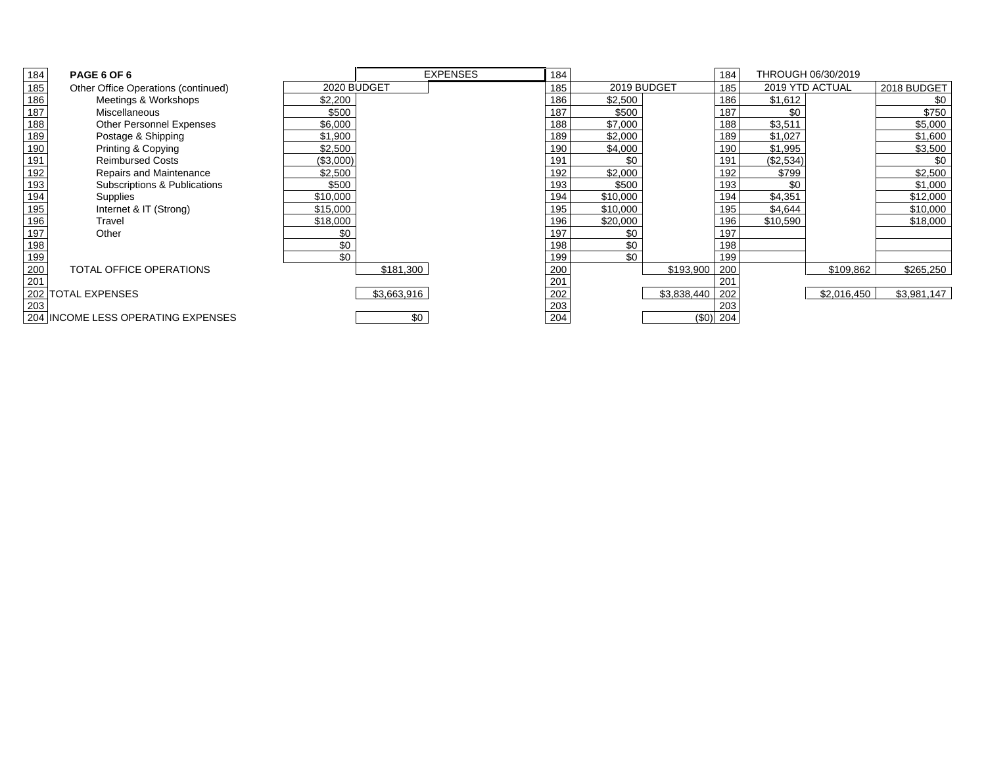| 184             | PAGE 6 OF 6                         |             |             | <b>EXPENSES</b> | 184 |             |             | 184 |           | THROUGH 06/30/2019 |             |
|-----------------|-------------------------------------|-------------|-------------|-----------------|-----|-------------|-------------|-----|-----------|--------------------|-------------|
| 185             | Other Office Operations (continued) | 2020 BUDGET |             |                 | 185 | 2019 BUDGET |             | 185 |           | 2019 YTD ACTUAL    | 2018 BUDGET |
| 186             | Meetings & Workshops                | \$2,200     |             |                 | 186 | \$2,500     |             | 186 | \$1,612   |                    | \$0         |
| 187             | Miscellaneous                       | \$500       |             |                 | 187 | \$500       |             | 187 | \$0       |                    | \$750       |
| 188             | <b>Other Personnel Expenses</b>     | \$6,000     |             |                 | 188 | \$7,000     |             | 188 | \$3,511   |                    | \$5,000     |
| 189             | Postage & Shipping                  | \$1,900     |             |                 | 189 | \$2,000     |             | 189 | \$1,027   |                    | \$1,600     |
| 190             | Printing & Copying                  | \$2,500     |             |                 | 190 | \$4,000     |             | 190 | \$1,995   |                    | \$3,500     |
| 191             | <b>Reimbursed Costs</b>             | (\$3,000)   |             |                 | 191 | \$0         |             | 191 | (\$2,534) |                    | \$0         |
| 192             | Repairs and Maintenance             | \$2,500     |             |                 | 192 | \$2,000     |             | 192 | \$799     |                    | \$2,500     |
| 193             | Subscriptions & Publications        | \$500       |             |                 | 193 | \$500       |             | 193 | \$0       |                    | \$1,000     |
| $\frac{1}{194}$ | Supplies                            | \$10,000    |             |                 | 194 | \$10,000    |             | 194 | \$4,351   |                    | \$12,000    |
| 195             | Internet & IT (Strong)              | \$15,000    |             |                 | 195 | \$10,000    |             | 195 | \$4,644   |                    | \$10,000    |
| 196             | Travel                              | \$18,000    |             |                 | 196 | \$20,000    |             | 196 | \$10,590  |                    | \$18,000    |
| 197             | Other                               | \$0         |             |                 | 197 | \$0         |             | 197 |           |                    |             |
| 198             |                                     | \$0         |             |                 | 198 | \$0         |             | 198 |           |                    |             |
| 199             |                                     | \$0         |             |                 | 199 | \$0         |             | 199 |           |                    |             |
| 200             | TOTAL OFFICE OPERATIONS             |             | \$181,300   |                 | 200 |             | \$193,900   | 200 |           | \$109.862          | \$265,250   |
| 201             |                                     |             |             |                 | 201 |             |             | 201 |           |                    |             |
| 202             | <b>ITOTAL EXPENSES</b>              |             | \$3,663,916 |                 | 202 |             | \$3,838,440 | 202 |           | \$2,016,450        | \$3,981,147 |
| 203             |                                     |             |             |                 | 203 |             |             | 203 |           |                    |             |
|                 | 204 INCOME LESS OPERATING EXPENSES  |             | \$0         |                 | 204 |             | $(\$0)$ 204 |     |           |                    |             |